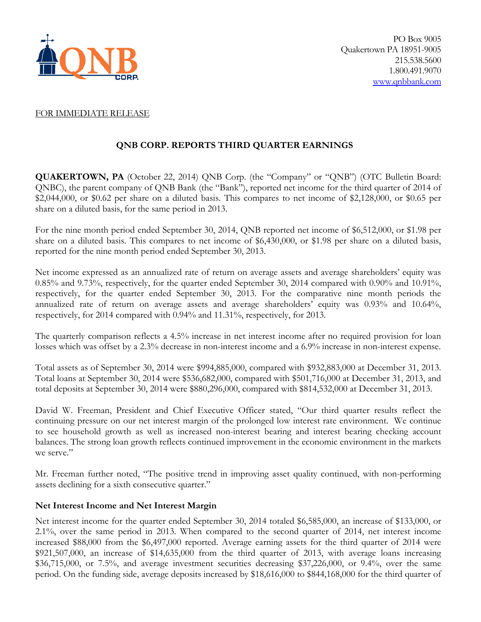

## FOR IMMEDIATE RELEASE

# **QNB CORP. REPORTS THIRD QUARTER EARNINGS**

**QUAKERTOWN, PA** (October 22, 2014) QNB Corp. (the "Company" or "QNB") (OTC Bulletin Board: QNBC), the parent company of QNB Bank (the "Bank"), reported net income for the third quarter of 2014 of \$2,044,000, or \$0.62 per share on a diluted basis. This compares to net income of \$2,128,000, or \$0.65 per share on a diluted basis, for the same period in 2013.

For the nine month period ended September 30, 2014, QNB reported net income of \$6,512,000, or \$1.98 per share on a diluted basis. This compares to net income of \$6,430,000, or \$1.98 per share on a diluted basis, reported for the nine month period ended September 30, 2013.

Net income expressed as an annualized rate of return on average assets and average shareholders' equity was 0.85% and 9.73%, respectively, for the quarter ended September 30, 2014 compared with 0.90% and 10.91%, respectively, for the quarter ended September 30, 2013. For the comparative nine month periods the annualized rate of return on average assets and average shareholders' equity was 0.93% and 10.64%, respectively, for 2014 compared with 0.94% and 11.31%, respectively, for 2013.

The quarterly comparison reflects a 4.5% increase in net interest income after no required provision for loan losses which was offset by a 2.3% decrease in non-interest income and a 6.9% increase in non-interest expense.

Total assets as of September 30, 2014 were \$994,885,000, compared with \$932,883,000 at December 31, 2013. Total loans at September 30, 2014 were \$536,682,000, compared with \$501,716,000 at December 31, 2013, and total deposits at September 30, 2014 were \$880,296,000, compared with \$814,532,000 at December 31, 2013.

David W. Freeman, President and Chief Executive Officer stated, "Our third quarter results reflect the continuing pressure on our net interest margin of the prolonged low interest rate environment. We continue to see household growth as well as increased non-interest bearing and interest bearing checking account balances. The strong loan growth reflects continued improvement in the economic environment in the markets we serve."

Mr. Freeman further noted, "The positive trend in improving asset quality continued, with non-performing assets declining for a sixth consecutive quarter."

# **Net Interest Income and Net Interest Margin**

Net interest income for the quarter ended September 30, 2014 totaled \$6,585,000, an increase of \$133,000, or 2.1%, over the same period in 2013. When compared to the second quarter of 2014, net interest income increased \$88,000 from the \$6,497,000 reported. Average earning assets for the third quarter of 2014 were \$921,507,000, an increase of \$14,635,000 from the third quarter of 2013, with average loans increasing  $$36,715,000$ , or 7.5%, and average investment securities decreasing \$37,226,000, or 9.4%, over the same period. On the funding side, average deposits increased by \$18,616,000 to \$844,168,000 for the third quarter of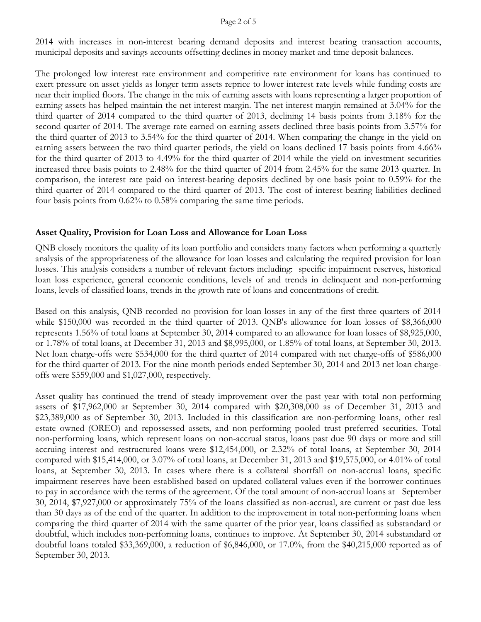### Page 2 of 5

2014 with increases in non-interest bearing demand deposits and interest bearing transaction accounts, municipal deposits and savings accounts offsetting declines in money market and time deposit balances.

The prolonged low interest rate environment and competitive rate environment for loans has continued to exert pressure on asset yields as longer term assets reprice to lower interest rate levels while funding costs are near their implied floors. The change in the mix of earning assets with loans representing a larger proportion of earning assets has helped maintain the net interest margin. The net interest margin remained at 3.04% for the third quarter of 2014 compared to the third quarter of 2013, declining 14 basis points from 3.18% for the second quarter of 2014. The average rate earned on earning assets declined three basis points from 3.57% for the third quarter of 2013 to 3.54% for the third quarter of 2014. When comparing the change in the yield on earning assets between the two third quarter periods, the yield on loans declined 17 basis points from 4.66% for the third quarter of 2013 to 4.49% for the third quarter of 2014 while the yield on investment securities increased three basis points to 2.48% for the third quarter of 2014 from 2.45% for the same 2013 quarter. In comparison, the interest rate paid on interest-bearing deposits declined by one basis point to 0.59% for the third quarter of 2014 compared to the third quarter of 2013. The cost of interest-bearing liabilities declined four basis points from 0.62% to 0.58% comparing the same time periods.

# **Asset Quality, Provision for Loan Loss and Allowance for Loan Loss**

QNB closely monitors the quality of its loan portfolio and considers many factors when performing a quarterly analysis of the appropriateness of the allowance for loan losses and calculating the required provision for loan losses. This analysis considers a number of relevant factors including: specific impairment reserves, historical loan loss experience, general economic conditions, levels of and trends in delinquent and non-performing loans, levels of classified loans, trends in the growth rate of loans and concentrations of credit.

Based on this analysis, QNB recorded no provision for loan losses in any of the first three quarters of 2014 while \$150,000 was recorded in the third quarter of 2013. QNB's allowance for loan losses of \$8,366,000 represents 1.56% of total loans at September 30, 2014 compared to an allowance for loan losses of \$8,925,000, or 1.78% of total loans, at December 31, 2013 and \$8,995,000, or 1.85% of total loans, at September 30, 2013. Net loan charge-offs were \$534,000 for the third quarter of 2014 compared with net charge-offs of \$586,000 for the third quarter of 2013. For the nine month periods ended September 30, 2014 and 2013 net loan chargeoffs were \$559,000 and \$1,027,000, respectively.

Asset quality has continued the trend of steady improvement over the past year with total non-performing assets of \$17,962,000 at September 30, 2014 compared with \$20,308,000 as of December 31, 2013 and \$23,389,000 as of September 30, 2013. Included in this classification are non-performing loans, other real estate owned (OREO) and repossessed assets, and non-performing pooled trust preferred securities. Total non-performing loans, which represent loans on non-accrual status, loans past due 90 days or more and still accruing interest and restructured loans were \$12,454,000, or 2.32% of total loans, at September 30, 2014 compared with \$15,414,000, or 3.07% of total loans, at December 31, 2013 and \$19,575,000, or 4.01% of total loans, at September 30, 2013. In cases where there is a collateral shortfall on non-accrual loans, specific impairment reserves have been established based on updated collateral values even if the borrower continues to pay in accordance with the terms of the agreement. Of the total amount of non-accrual loans at September 30, 2014, \$7,927,000 or approximately 75% of the loans classified as non-accrual, are current or past due less than 30 days as of the end of the quarter. In addition to the improvement in total non-performing loans when comparing the third quarter of 2014 with the same quarter of the prior year, loans classified as substandard or doubtful, which includes non-performing loans, continues to improve. At September 30, 2014 substandard or doubtful loans totaled \$33,369,000, a reduction of \$6,846,000, or 17.0%, from the \$40,215,000 reported as of September 30, 2013.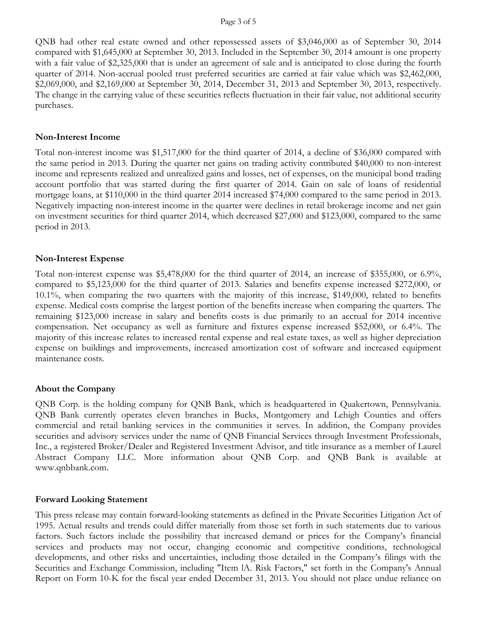#### Page 3 of 5

QNB had other real estate owned and other repossessed assets of \$3,046,000 as of September 30, 2014 compared with \$1,645,000 at September 30, 2013. Included in the September 30, 2014 amount is one property with a fair value of \$2,325,000 that is under an agreement of sale and is anticipated to close during the fourth quarter of 2014. Non-accrual pooled trust preferred securities are carried at fair value which was \$2,462,000, \$2,069,000, and \$2,169,000 at September 30, 2014, December 31, 2013 and September 30, 2013, respectively. The change in the carrying value of these securities reflects fluctuation in their fair value, not additional security purchases.

### **Non-Interest Income**

Total non-interest income was \$1,517,000 for the third quarter of 2014, a decline of \$36,000 compared with the same period in 2013. During the quarter net gains on trading activity contributed \$40,000 to non-interest income and represents realized and unrealized gains and losses, net of expenses, on the municipal bond trading account portfolio that was started during the first quarter of 2014. Gain on sale of loans of residential mortgage loans, at \$110,000 in the third quarter 2014 increased \$74,000 compared to the same period in 2013. Negatively impacting non-interest income in the quarter were declines in retail brokerage income and net gain on investment securities for third quarter 2014, which decreased \$27,000 and \$123,000, compared to the same period in 2013.

## **Non-Interest Expense**

Total non-interest expense was \$5,478,000 for the third quarter of 2014, an increase of \$355,000, or 6.9%, compared to \$5,123,000 for the third quarter of 2013. Salaries and benefits expense increased \$272,000, or 10.1%, when comparing the two quarters with the majority of this increase, \$149,000, related to benefits expense. Medical costs comprise the largest portion of the benefits increase when comparing the quarters. The remaining \$123,000 increase in salary and benefits costs is due primarily to an accrual for 2014 incentive compensation. Net occupancy as well as furniture and fixtures expense increased \$52,000, or 6.4%. The majority of this increase relates to increased rental expense and real estate taxes, as well as higher depreciation expense on buildings and improvements, increased amortization cost of software and increased equipment maintenance costs.

## **About the Company**

QNB Corp. is the holding company for QNB Bank, which is headquartered in Quakertown, Pennsylvania. QNB Bank currently operates eleven branches in Bucks, Montgomery and Lehigh Counties and offers commercial and retail banking services in the communities it serves. In addition, the Company provides securities and advisory services under the name of QNB Financial Services through Investment Professionals, Inc., a registered Broker/Dealer and Registered Investment Advisor, and title insurance as a member of Laurel Abstract Company LLC. More information about QNB Corp. and QNB Bank is available at www.qnbbank.com.

## **Forward Looking Statement**

This press release may contain forward-looking statements as defined in the Private Securities Litigation Act of 1995. Actual results and trends could differ materially from those set forth in such statements due to various factors. Such factors include the possibility that increased demand or prices for the Company's financial services and products may not occur, changing economic and competitive conditions, technological developments, and other risks and uncertainties, including those detailed in the Company's filings with the Securities and Exchange Commission, including "Item lA. Risk Factors," set forth in the Company's Annual Report on Form 10-K for the fiscal year ended December 31, 2013. You should not place undue reliance on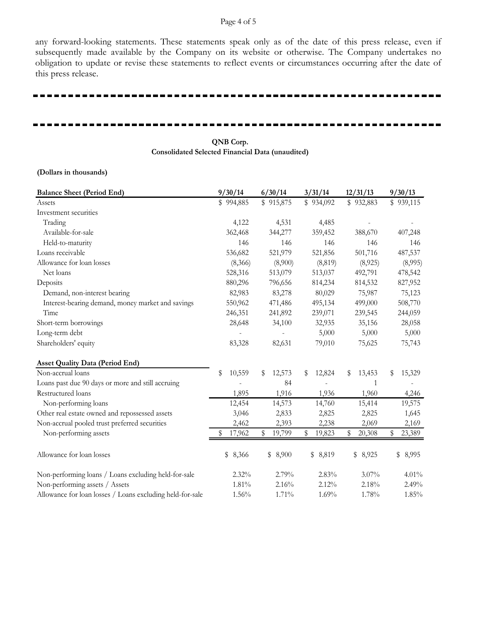#### Page 4 of 5

any forward-looking statements. These statements speak only as of the date of this press release, even if subsequently made available by the Company on its website or otherwise. The Company undertakes no obligation to update or revise these statements to reflect events or circumstances occurring after the date of this press release.

#### **QNB Corp. Consolidated Selected Financial Data (unaudited)**

#### **(Dollars in thousands)**

| <b>Balance Sheet (Period End)</b>                         | 9/30/14      | 6/30/14      | 3/31/14      | 12/31/13     | 9/30/13      |
|-----------------------------------------------------------|--------------|--------------|--------------|--------------|--------------|
| Assets                                                    | \$994,885    | \$915,875    | \$934,092    | \$932,883    | \$939,115    |
| Investment securities                                     |              |              |              |              |              |
| Trading                                                   | 4,122        | 4,531        | 4,485        |              |              |
| Available-for-sale                                        | 362,468      | 344,277      | 359,452      | 388,670      | 407,248      |
| Held-to-maturity                                          | 146          | 146          | 146          | 146          | 146          |
| Loans receivable                                          | 536,682      | 521,979      | 521,856      | 501,716      | 487,537      |
| Allowance for loan losses                                 | (8,366)      | (8,900)      | (8, 819)     | (8,925)      | (8,995)      |
| Net loans                                                 | 528,316      | 513,079      | 513,037      | 492,791      | 478,542      |
| Deposits                                                  | 880,296      | 796,656      | 814,234      | 814,532      | 827,952      |
| Demand, non-interest bearing                              | 82,983       | 83,278       | 80,029       | 75,987       | 75,123       |
| Interest-bearing demand, money market and savings         | 550,962      | 471,486      | 495,134      | 499,000      | 508,770      |
| Time                                                      | 246,351      | 241,892      | 239,071      | 239,545      | 244,059      |
| Short-term borrowings                                     | 28,648       | 34,100       | 32,935       | 35,156       | 28,058       |
| Long-term debt                                            |              |              | 5,000        | 5,000        | 5,000        |
| Shareholders' equity                                      | 83,328       | 82,631       | 79,010       | 75,625       | 75,743       |
| <b>Asset Quality Data (Period End)</b>                    |              |              |              |              |              |
| Non-accrual loans                                         | \$<br>10,559 | \$<br>12,573 | 12,824<br>S  | 13,453<br>S  | 15,329<br>\$ |
| Loans past due 90 days or more and still accruing         |              | 84           |              | 1            |              |
| Restructured loans                                        | 1,895        | 1,916        | 1,936        | 1,960        | 4,246        |
| Non-performing loans                                      | 12,454       | 14,573       | 14,760       | 15,414       | 19,575       |
| Other real estate owned and repossessed assets            | 3,046        | 2,833        | 2,825        | 2,825        | 1,645        |
| Non-accrual pooled trust preferred securities             | 2,462        | 2,393        | 2,238        | 2,069        | 2,169        |
| Non-performing assets                                     | 17,962       | 19,799<br>\$ | 19,823<br>\$ | 20,308<br>\$ | 23,389<br>\$ |
| Allowance for loan losses                                 | \$8,366      | \$8,900      | 8,819<br>\$  | 8,925<br>\$  | 8,995<br>\$  |
| Non-performing loans / Loans excluding held-for-sale      | 2.32%        | 2.79%        | 2.83%        | $3.07\%$     | $4.01\%$     |
| Non-performing assets / Assets                            | 1.81%        | 2.16%        | 2.12%        | 2.18%        | 2.49%        |
| Allowance for loan losses / Loans excluding held-for-sale | 1.56%        | 1.71%        | 1.69%        | 1.78%        | 1.85%        |